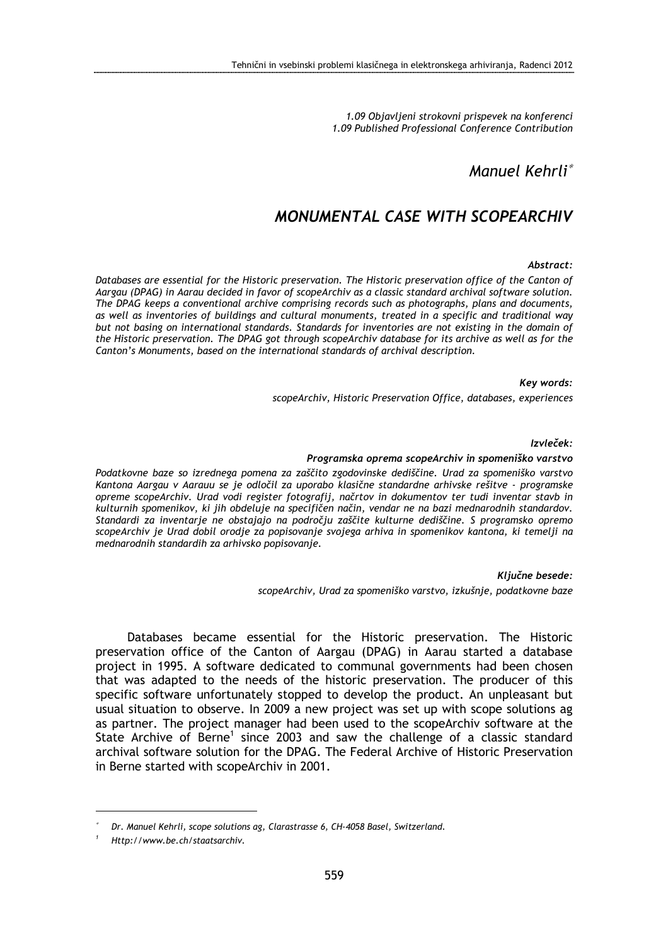1.09 Objavljeni strokovni prispevek na konferenci 1.09 Published Professional Conference Contribution

## Manuel Kehrli<sup>∗</sup>

# MONUMENTAL CASE WITH SCOPEARCHIV

#### Abstract:

Databases are essential for the Historic preservation. The Historic preservation office of the Canton of Aargau (DPAG) in Aarau decided in favor of scopeArchiv as a classic standard archival software solution. The DPAG keeps a conventional archive comprising records such as photographs, plans and documents, as well as inventories of buildings and cultural monuments, treated in a specific and traditional way but not basing on international standards. Standards for inventories are not existing in the domain of the Historic preservation. The DPAG got through scopeArchiv database for its archive as well as for the Canton's Monuments, based on the international standards of archival description.

#### Key words:

scopeArchiv, Historic Preservation Office, databases, experiences

#### Izvleček:

#### Programska oprema scopeArchiv in spomeniško varstvo

Podatkovne baze so izrednega pomena za zaščito zgodovinske dediščine. Urad za spomeniško varstvo Kantona Aargau v Aarauu se je odločil za uporabo klasične standardne arhivske rešitve - programske opreme scopeArchiv. Urad vodi register fotografij, načrtov in dokumentov ter tudi inventar stavb in kulturnih spomenikov, ki jih obdeluje na specifičen način, vendar ne na bazi mednarodnih standardov. Standardi za inventarje ne obstajajo na področju zaščite kulturne dediščine. S programsko opremo scopeArchiv je Urad dobil orodje za popisovanje svojega arhiva in spomenikov kantona, ki temelji na mednarodnih standardih za arhivsko popisovanje.

Ključne besede:

scopeArchiv, Urad za spomeniško varstvo, izkušnje, podatkovne baze

Databases became essential for the Historic preservation. The Historic preservation office of the Canton of Aargau (DPAG) in Aarau started a database project in 1995. A software dedicated to communal governments had been chosen that was adapted to the needs of the historic preservation. The producer of this specific software unfortunately stopped to develop the product. An unpleasant but usual situation to observe. In 2009 a new project was set up with scope solutions ag as partner. The project manager had been used to the scopeArchiv software at the State Archive of Berne<sup>1</sup> since 2003 and saw the challenge of a classic standard archival software solution for the DPAG. The Federal Archive of Historic Preservation in Berne started with scopeArchiv in 2001.

 $\overline{a}$ 

<sup>∗</sup>Dr. Manuel Kehrli, scope solutions ag, Clarastrasse 6, CH-4058 Basel, Switzerland.

<sup>1</sup> Http://www.be.ch/staatsarchiv.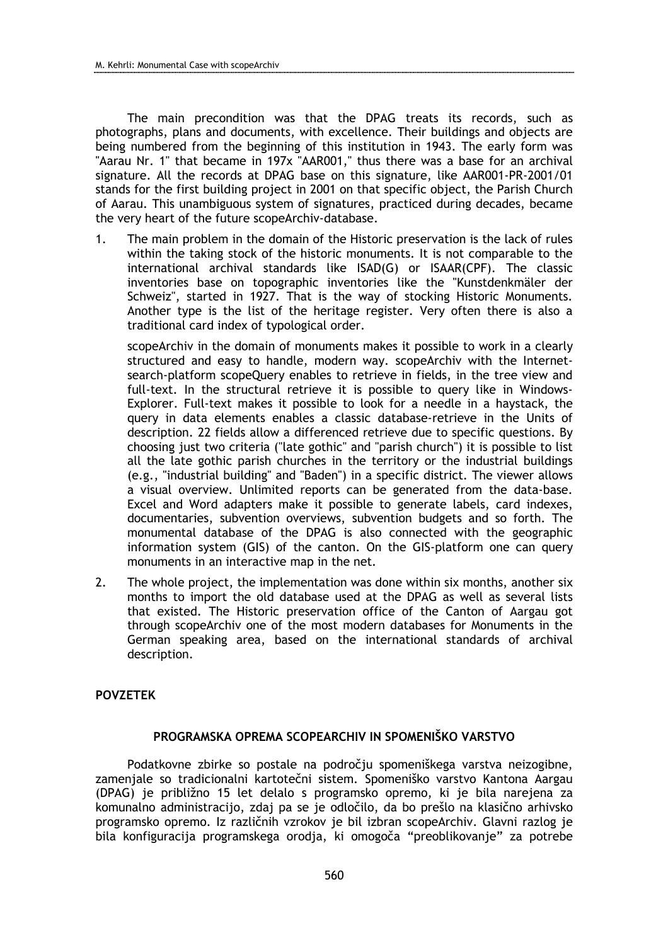The main precondition was that the DPAG treats its records, such as photographs, plans and documents, with excellence. Their buildings and objects are being numbered from the beginning of this institution in 1943. The early form was "Aarau Nr. 1" that became in 197x "AAR001," thus there was a base for an archival signature. All the records at DPAG base on this signature, like AAR001-PR-2001/01 stands for the first building project in 2001 on that specific object, the Parish Church of Aarau. This unambiguous system of signatures, practiced during decades, became the very heart of the future scopeArchiv-database.

1. The main problem in the domain of the Historic preservation is the lack of rules within the taking stock of the historic monuments. It is not comparable to the international archival standards like ISAD(G) or ISAAR(CPF). The classic inventories base on topographic inventories like the "Kunstdenkmäler der Schweiz", started in 1927. That is the way of stocking Historic Monuments. Another type is the list of the heritage register. Very often there is also a traditional card index of typological order.

scopeArchiv in the domain of monuments makes it possible to work in a clearly structured and easy to handle, modern way. scopeArchiv with the Internetsearch-platform scopeQuery enables to retrieve in fields, in the tree view and full-text. In the structural retrieve it is possible to query like in Windows-Explorer. Full-text makes it possible to look for a needle in a haystack, the query in data elements enables a classic database-retrieve in the Units of description. 22 fields allow a differenced retrieve due to specific questions. By choosing just two criteria ("late gothic" and "parish church") it is possible to list all the late gothic parish churches in the territory or the industrial buildings (e.g., "industrial building" and "Baden") in a specific district. The viewer allows a visual overview. Unlimited reports can be generated from the data-base. Excel and Word adapters make it possible to generate labels, card indexes, documentaries, subvention overviews, subvention budgets and so forth. The monumental database of the DPAG is also connected with the geographic information system (GIS) of the canton. On the GIS-platform one can query monuments in an interactive map in the net.

2. The whole project, the implementation was done within six months, another six months to import the old database used at the DPAG as well as several lists that existed. The Historic preservation office of the Canton of Aargau got through scopeArchiv one of the most modern databases for Monuments in the German speaking area, based on the international standards of archival description.

### POVZETEK

### PROGRAMSKA OPREMA SCOPEARCHIV IN SPOMENIŠKO VARSTVO

Podatkovne zbirke so postale na področju spomeniškega varstva neizogibne, zamenjale so tradicionalni kartotečni sistem. Spomeniško varstvo Kantona Aargau (DPAG) je približno 15 let delalo s programsko opremo, ki je bila narejena za komunalno administracijo, zdaj pa se je odločilo, da bo prešlo na klasično arhivsko programsko opremo. Iz različnih vzrokov je bil izbran scopeArchiv. Glavni razlog je bila konfiguracija programskega orodja, ki omogoča "preoblikovanje" za potrebe